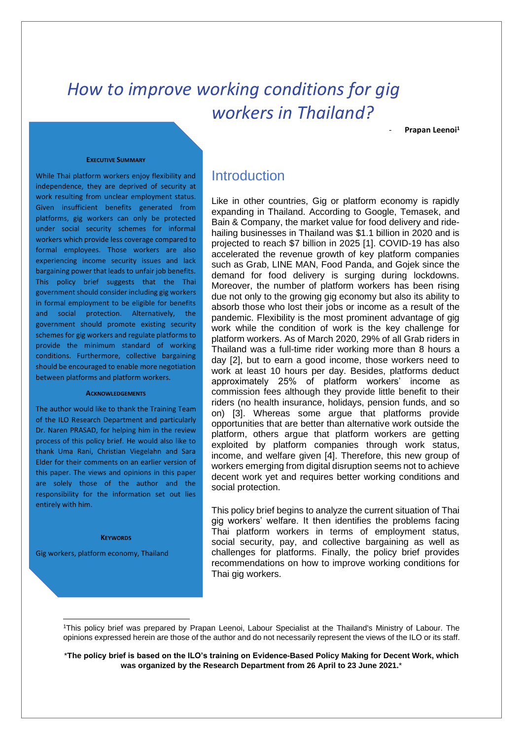# *How to improve working conditions for gig workers in Thailand?*

- **Prapan Leenoi<sup>1</sup>**

#### **EXECUTIVE SUMMARY**

While Thai platform workers enjoy flexibility and independence, they are deprived of security at work resulting from unclear employment status. Given insufficient benefits generated from platforms, gig workers can only be protected under social security schemes for informal workers which provide less coverage compared to formal employees. Those workers are also experiencing income security issues and lack bargaining power that leads to unfair job benefits. This policy brief suggests that the Thai government should consider including gig workers in formal employment to be eligible for benefits and social protection. Alternatively, the government should promote existing security schemes for gig workers and regulate platforms to provide the minimum standard of working conditions. Furthermore, collective bargaining should be encouraged to enable more negotiation between platforms and platform workers.

#### **ACKNOWLEDGEMENTS**

The author would like to thank the Training Team of the ILO Research Department and particularly Dr. Naren PRASAD, for helping him in the review process of this policy brief. He would also like to thank Uma Rani, Christian Viegelahn and Sara Elder for their comments on an earlier version of this paper. The views and opinions in this paper are solely those of the author and the responsibility for the information set out lies entirely with him.

#### **KEYWORDS**

Gig workers, platform economy, Thailand

## **Introduction**

Like in other countries, Gig or platform economy is rapidly expanding in Thailand. According to Google, Temasek, and Bain & Company, the market value for food delivery and ridehailing businesses in Thailand was \$1.1 billion in 2020 and is projected to reach \$7 billion in 2025 [1]. COVID-19 has also accelerated the revenue growth of key platform companies such as Grab, LINE MAN, Food Panda, and Gojek since the demand for food delivery is surging during lockdowns. Moreover, the number of platform workers has been rising due not only to the growing gig economy but also its ability to absorb those who lost their jobs or income as a result of the pandemic. Flexibility is the most prominent advantage of gig work while the condition of work is the key challenge for platform workers. As of March 2020, 29% of all Grab riders in Thailand was a full-time rider working more than 8 hours a day [2], but to earn a good income, those workers need to work at least 10 hours per day. Besides, platforms deduct approximately 25% of platform workers' income as commission fees although they provide little benefit to their riders (no health insurance, holidays, pension funds, and so on) [3]. Whereas some argue that platforms provide opportunities that are better than alternative work outside the platform, others argue that platform workers are getting exploited by platform companies through work status, income, and welfare given [4]. Therefore, this new group of workers emerging from digital disruption seems not to achieve decent work yet and requires better working conditions and social protection.

This policy brief begins to analyze the current situation of Thai gig workers' welfare. It then identifies the problems facing Thai platform workers in terms of employment status, social security, pay, and collective bargaining as well as challenges for platforms. Finally, the policy brief provides recommendations on how to improve working conditions for Thai gig workers.

<sup>1</sup>This policy brief was prepared by Prapan Leenoi, Labour Specialist at the Thailand's Ministry of Labour. The opinions expressed herein are those of the author and do not necessarily represent the views of the ILO or its staff.

<sup>\*</sup>**The policy brief is based on the ILO's training on Evidence-Based Policy Making for Decent Work, which was organized by the Research Department from 26 April to 23 June 2021.**\*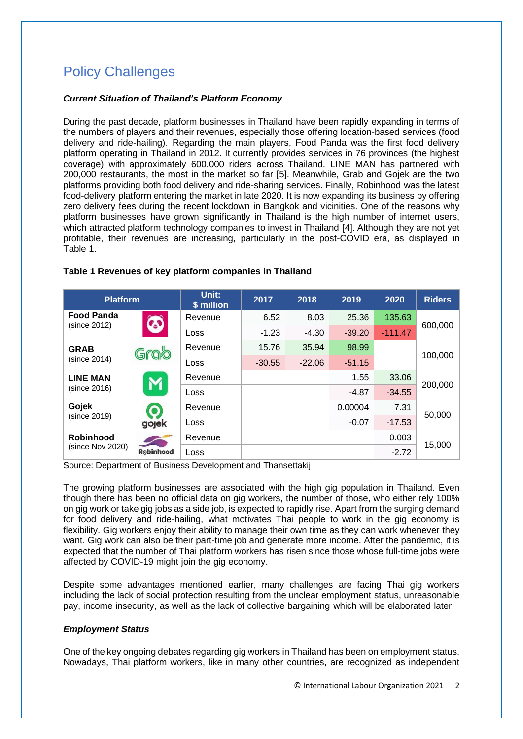# Policy Challenges

### *Current Situation of Thailand's Platform Economy*

During the past decade, platform businesses in Thailand have been rapidly expanding in terms of the numbers of players and their revenues, especially those offering location-based services (food delivery and ride-hailing). Regarding the main players, Food Panda was the first food delivery platform operating in Thailand in 2012. It currently provides services in 76 provinces (the highest coverage) with approximately 600,000 riders across Thailand. LINE MAN has partnered with 200,000 restaurants, the most in the market so far [5]. Meanwhile, Grab and Gojek are the two platforms providing both food delivery and ride-sharing services. Finally, Robinhood was the latest food-delivery platform entering the market in late 2020. It is now expanding its business by offering zero delivery fees during the recent lockdown in Bangkok and vicinities. One of the reasons why platform businesses have grown significantly in Thailand is the high number of internet users, which attracted platform technology companies to invest in Thailand [4]. Although they are not yet profitable, their revenues are increasing, particularly in the post-COVID era, as displayed in Table 1.

| <b>Platform</b>                      |                   | Unit:<br>\$ million | 2017     | 2018     | 2019     | 2020      | <b>Riders</b> |
|--------------------------------------|-------------------|---------------------|----------|----------|----------|-----------|---------------|
| <b>Food Panda</b><br>(since 2012)    | $\Omega$          | Revenue             | 6.52     | 8.03     | 25.36    | 135.63    | 600,000       |
|                                      |                   | Loss                | $-1.23$  | $-4.30$  | $-39.20$ | $-111.47$ |               |
| <b>GRAB</b><br>(since 2014)          | Grab              | Revenue             | 15.76    | 35.94    | 98.99    |           | 100,000       |
|                                      |                   | Loss                | $-30.55$ | $-22.06$ | $-51.15$ |           |               |
| <b>LINE MAN</b><br>(since 2016)      |                   | Revenue             |          |          | 1.55     | 33.06     | 200,000       |
|                                      |                   | Loss                |          |          | $-4.87$  | $-34.55$  |               |
| Gojek<br>(since 2019)                | O<br>gojek        | Revenue             |          |          | 0.00004  | 7.31      | 50,000        |
|                                      |                   | Loss                |          |          | $-0.07$  | $-17.53$  |               |
| <b>Robinhood</b><br>(since Nov 2020) | <b>R</b> obinhood | Revenue             |          |          |          | 0.003     | 15,000        |
|                                      |                   | Loss                |          |          |          | $-2.72$   |               |

#### **Table 1 Revenues of key platform companies in Thailand**

Source: Department of Business Development and Thansettakij

The growing platform businesses are associated with the high gig population in Thailand. Even though there has been no official data on gig workers, the number of those, who either rely 100% on gig work or take gig jobs as a side job, is expected to rapidly rise. Apart from the surging demand for food delivery and ride-hailing, what motivates Thai people to work in the gig economy is flexibility. Gig workers enjoy their ability to manage their own time as they can work whenever they want. Gig work can also be their part-time job and generate more income. After the pandemic, it is expected that the number of Thai platform workers has risen since those whose full-time jobs were affected by COVID-19 might join the gig economy.

Despite some advantages mentioned earlier, many challenges are facing Thai gig workers including the lack of social protection resulting from the unclear employment status, unreasonable pay, income insecurity, as well as the lack of collective bargaining which will be elaborated later.

## *Employment Status*

One of the key ongoing debates regarding gig workers in Thailand has been on employment status. Nowadays, Thai platform workers, like in many other countries, are recognized as independent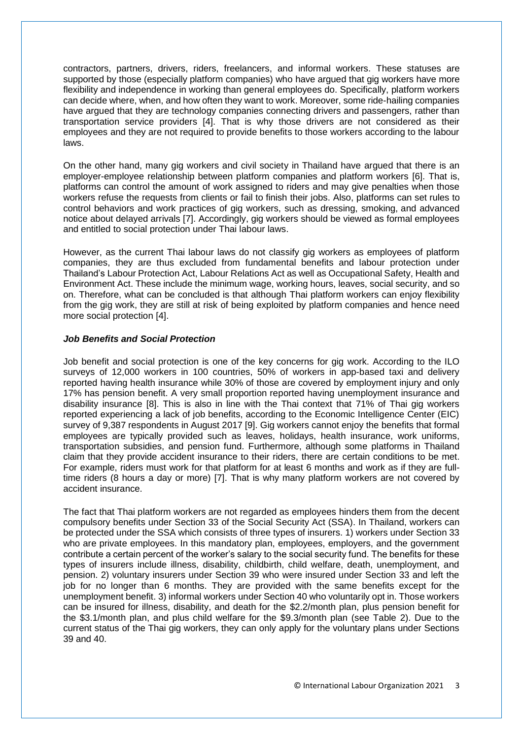contractors, partners, drivers, riders, freelancers, and informal workers. These statuses are supported by those (especially platform companies) who have argued that gig workers have more flexibility and independence in working than general employees do. Specifically, platform workers can decide where, when, and how often they want to work. Moreover, some ride-hailing companies have argued that they are technology companies connecting drivers and passengers, rather than transportation service providers [4]. That is why those drivers are not considered as their employees and they are not required to provide benefits to those workers according to the labour laws.

On the other hand, many gig workers and civil society in Thailand have argued that there is an employer-employee relationship between platform companies and platform workers [6]. That is, platforms can control the amount of work assigned to riders and may give penalties when those workers refuse the requests from clients or fail to finish their jobs. Also, platforms can set rules to control behaviors and work practices of gig workers, such as dressing, smoking, and advanced notice about delayed arrivals [7]. Accordingly, gig workers should be viewed as formal employees and entitled to social protection under Thai labour laws.

However, as the current Thai labour laws do not classify gig workers as employees of platform companies, they are thus excluded from fundamental benefits and labour protection under Thailand's Labour Protection Act, Labour Relations Act as well as Occupational Safety, Health and Environment Act. These include the minimum wage, working hours, leaves, social security, and so on. Therefore, what can be concluded is that although Thai platform workers can enjoy flexibility from the gig work, they are still at risk of being exploited by platform companies and hence need more social protection [4].

#### *Job Benefits and Social Protection*

Job benefit and social protection is one of the key concerns for gig work. According to the ILO surveys of 12,000 workers in 100 countries, 50% of workers in app-based taxi and delivery reported having health insurance while 30% of those are covered by employment injury and only 17% has pension benefit. A very small proportion reported having unemployment insurance and disability insurance [8]. This is also in line with the Thai context that 71% of Thai gig workers reported experiencing a lack of job benefits, according to the Economic Intelligence Center (EIC) survey of 9,387 respondents in August 2017 [9]. Gig workers cannot enjoy the benefits that formal employees are typically provided such as leaves, holidays, health insurance, work uniforms, transportation subsidies, and pension fund. Furthermore, although some platforms in Thailand claim that they provide accident insurance to their riders, there are certain conditions to be met. For example, riders must work for that platform for at least 6 months and work as if they are fulltime riders (8 hours a day or more) [7]. That is why many platform workers are not covered by accident insurance.

The fact that Thai platform workers are not regarded as employees hinders them from the decent compulsory benefits under Section 33 of the Social Security Act (SSA). In Thailand, workers can be protected under the SSA which consists of three types of insurers. 1) workers under Section 33 who are private employees. In this mandatory plan, employees, employers, and the government contribute a certain percent of the worker's salary to the social security fund. The benefits for these types of insurers include illness, disability, childbirth, child welfare, death, unemployment, and pension. 2) voluntary insurers under Section 39 who were insured under Section 33 and left the job for no longer than 6 months. They are provided with the same benefits except for the unemployment benefit. 3) informal workers under Section 40 who voluntarily opt in. Those workers can be insured for illness, disability, and death for the \$2.2/month plan, plus pension benefit for the \$3.1/month plan, and plus child welfare for the \$9.3/month plan (see Table 2). Due to the current status of the Thai gig workers, they can only apply for the voluntary plans under Sections 39 and 40.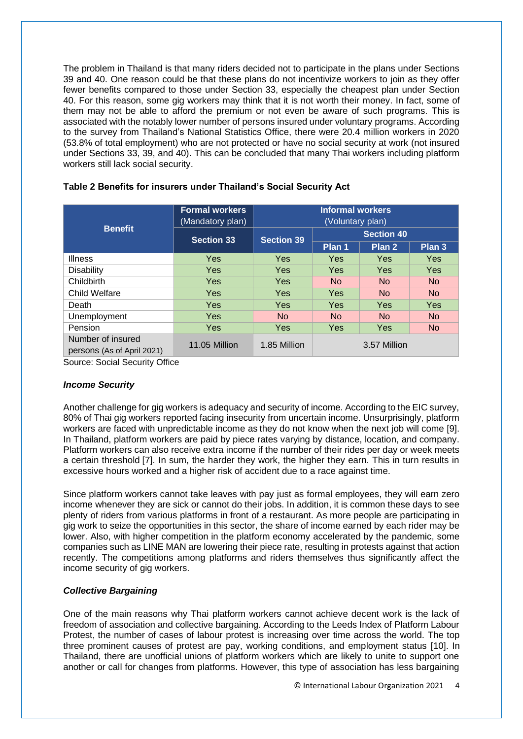The problem in Thailand is that many riders decided not to participate in the plans under Sections 39 and 40. One reason could be that these plans do not incentivize workers to join as they offer fewer benefits compared to those under Section 33, especially the cheapest plan under Section 40. For this reason, some gig workers may think that it is not worth their money. In fact, some of them may not be able to afford the premium or not even be aware of such programs. This is associated with the notably lower number of persons insured under voluntary programs. According to the survey from Thailand's National Statistics Office, there were 20.4 million workers in 2020 (53.8% of total employment) who are not protected or have no social security at work (not insured under Sections 33, 39, and 40). This can be concluded that many Thai workers including platform workers still lack social security.

|                                                 | <b>Formal workers</b><br>(Mandatory plan) | <b>Informal workers</b><br>(Voluntary plan) |                   |            |           |  |
|-------------------------------------------------|-------------------------------------------|---------------------------------------------|-------------------|------------|-----------|--|
| <b>Benefit</b>                                  | <b>Section 33</b>                         | <b>Section 39</b>                           | <b>Section 40</b> |            |           |  |
|                                                 |                                           |                                             | Plan 1            | Plan 2     | Plan 3    |  |
| <b>Illness</b>                                  | Yes                                       | <b>Yes</b>                                  | Yes               | <b>Yes</b> | Yes       |  |
| <b>Disability</b>                               | Yes                                       | <b>Yes</b>                                  | <b>Yes</b>        | <b>Yes</b> | Yes       |  |
| Childbirth                                      | <b>Yes</b>                                | <b>Yes</b>                                  | No.               | <b>No</b>  | <b>No</b> |  |
| <b>Child Welfare</b>                            | <b>Yes</b>                                | <b>Yes</b>                                  | <b>Yes</b>        | <b>No</b>  | <b>No</b> |  |
| Death                                           | Yes                                       | <b>Yes</b>                                  | Yes               | <b>Yes</b> | Yes       |  |
| Unemployment                                    | <b>Yes</b>                                | No.                                         | No.               | <b>No</b>  | <b>No</b> |  |
| Pension                                         | Yes                                       | <b>Yes</b>                                  | <b>Yes</b>        | <b>Yes</b> | <b>No</b> |  |
| Number of insured<br>persons (As of April 2021) | 11.05 Million                             | 1.85 Million                                | 3.57 Million      |            |           |  |

#### **Table 2 Benefits for insurers under Thailand's Social Security Act**

Source: Social Security Office

#### *Income Security*

Another challenge for gig workers is adequacy and security of income. According to the EIC survey, 80% of Thai gig workers reported facing insecurity from uncertain income. Unsurprisingly, platform workers are faced with unpredictable income as they do not know when the next job will come [9]. In Thailand, platform workers are paid by piece rates varying by distance, location, and company. Platform workers can also receive extra income if the number of their rides per day or week meets a certain threshold [7]. In sum, the harder they work, the higher they earn. This in turn results in excessive hours worked and a higher risk of accident due to a race against time.

Since platform workers cannot take leaves with pay just as formal employees, they will earn zero income whenever they are sick or cannot do their jobs. In addition, it is common these days to see plenty of riders from various platforms in front of a restaurant. As more people are participating in gig work to seize the opportunities in this sector, the share of income earned by each rider may be lower. Also, with higher competition in the platform economy accelerated by the pandemic, some companies such as LINE MAN are lowering their piece rate, resulting in protests against that action recently. The competitions among platforms and riders themselves thus significantly affect the income security of gig workers.

#### *Collective Bargaining*

One of the main reasons why Thai platform workers cannot achieve decent work is the lack of freedom of association and collective bargaining. According to the Leeds Index of Platform Labour Protest, the number of cases of labour protest is increasing over time across the world. The top three prominent causes of protest are pay, working conditions, and employment status [10]. In Thailand, there are unofficial unions of platform workers which are likely to unite to support one another or call for changes from platforms. However, this type of association has less bargaining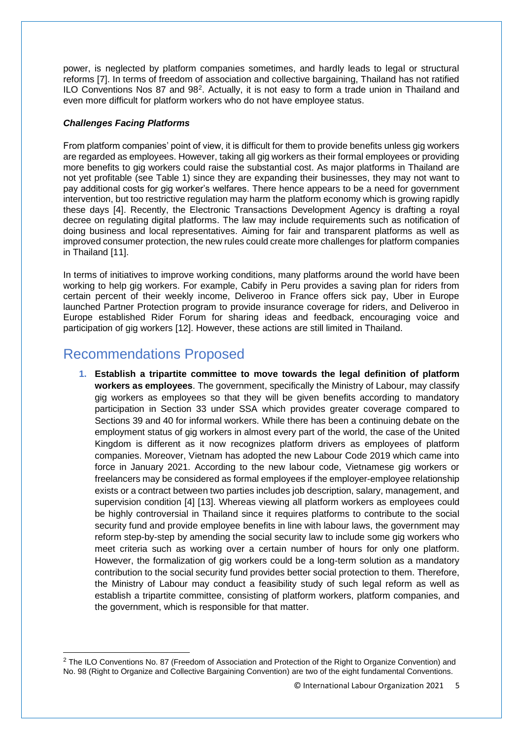power, is neglected by platform companies sometimes, and hardly leads to legal or structural reforms [7]. In terms of freedom of association and collective bargaining, Thailand has not ratified ILO Conventions Nos 87 and 98<sup>2</sup>. Actually, it is not easy to form a trade union in Thailand and even more difficult for platform workers who do not have employee status.

### *Challenges Facing Platforms*

From platform companies' point of view, it is difficult for them to provide benefits unless gig workers are regarded as employees. However, taking all gig workers as their formal employees or providing more benefits to gig workers could raise the substantial cost. As major platforms in Thailand are not yet profitable (see Table 1) since they are expanding their businesses, they may not want to pay additional costs for gig worker's welfares. There hence appears to be a need for government intervention, but too restrictive regulation may harm the platform economy which is growing rapidly these days [4]. Recently, the Electronic Transactions Development Agency is drafting a royal decree on regulating digital platforms. The law may include requirements such as notification of doing business and local representatives. Aiming for fair and transparent platforms as well as improved consumer protection, the new rules could create more challenges for platform companies in Thailand [11].

In terms of initiatives to improve working conditions, many platforms around the world have been working to help gig workers. For example, Cabify in Peru provides a saving plan for riders from certain percent of their weekly income, Deliveroo in France offers sick pay, Uber in Europe launched Partner Protection program to provide insurance coverage for riders, and Deliveroo in Europe established Rider Forum for sharing ideas and feedback, encouraging voice and participation of gig workers [12]. However, these actions are still limited in Thailand.

# Recommendations Proposed

**1. Establish a tripartite committee to move towards the legal definition of platform workers as employees**. The government, specifically the Ministry of Labour, may classify gig workers as employees so that they will be given benefits according to mandatory participation in Section 33 under SSA which provides greater coverage compared to Sections 39 and 40 for informal workers. While there has been a continuing debate on the employment status of gig workers in almost every part of the world, the case of the United Kingdom is different as it now recognizes platform drivers as employees of platform companies. Moreover, Vietnam has adopted the new Labour Code 2019 which came into force in January 2021. According to the new labour code, Vietnamese gig workers or freelancers may be considered as formal employees if the employer-employee relationship exists or a contract between two parties includes job description, salary, management, and supervision condition [4] [13]. Whereas viewing all platform workers as employees could be highly controversial in Thailand since it requires platforms to contribute to the social security fund and provide employee benefits in line with labour laws, the government may reform step-by-step by amending the social security law to include some gig workers who meet criteria such as working over a certain number of hours for only one platform. However, the formalization of gig workers could be a long-term solution as a mandatory contribution to the social security fund provides better social protection to them. Therefore, the Ministry of Labour may conduct a feasibility study of such legal reform as well as establish a tripartite committee, consisting of platform workers, platform companies, and the government, which is responsible for that matter.

<sup>&</sup>lt;sup>2</sup> The ILO Conventions No. 87 (Freedom of Association and Protection of the Right to Organize Convention) and No. 98 (Right to Organize and Collective Bargaining Convention) are two of the eight fundamental Conventions.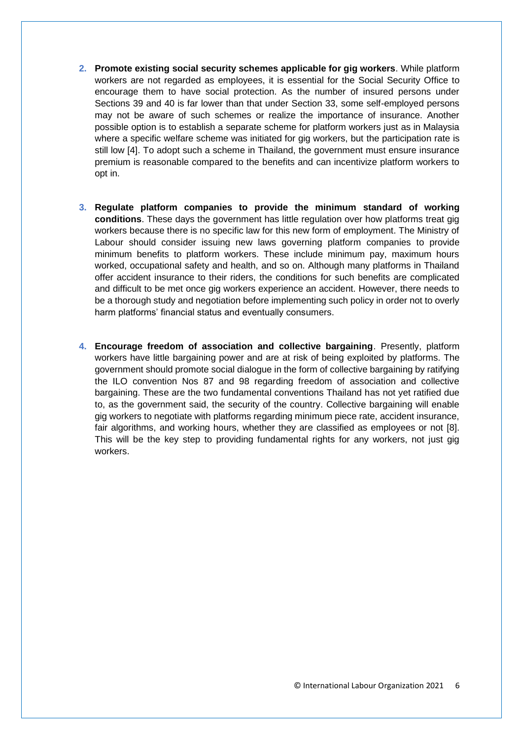- **2. Promote existing social security schemes applicable for gig workers**. While platform workers are not regarded as employees, it is essential for the Social Security Office to encourage them to have social protection. As the number of insured persons under Sections 39 and 40 is far lower than that under Section 33, some self-employed persons may not be aware of such schemes or realize the importance of insurance. Another possible option is to establish a separate scheme for platform workers just as in Malaysia where a specific welfare scheme was initiated for gig workers, but the participation rate is still low [4]. To adopt such a scheme in Thailand, the government must ensure insurance premium is reasonable compared to the benefits and can incentivize platform workers to opt in.
- **3. Regulate platform companies to provide the minimum standard of working conditions**. These days the government has little regulation over how platforms treat gig workers because there is no specific law for this new form of employment. The Ministry of Labour should consider issuing new laws governing platform companies to provide minimum benefits to platform workers. These include minimum pay, maximum hours worked, occupational safety and health, and so on. Although many platforms in Thailand offer accident insurance to their riders, the conditions for such benefits are complicated and difficult to be met once gig workers experience an accident. However, there needs to be a thorough study and negotiation before implementing such policy in order not to overly harm platforms' financial status and eventually consumers.
- **4. Encourage freedom of association and collective bargaining**. Presently, platform workers have little bargaining power and are at risk of being exploited by platforms. The government should promote social dialogue in the form of collective bargaining by ratifying the ILO convention Nos 87 and 98 regarding freedom of association and collective bargaining. These are the two fundamental conventions Thailand has not yet ratified due to, as the government said, the security of the country. Collective bargaining will enable gig workers to negotiate with platforms regarding minimum piece rate, accident insurance, fair algorithms, and working hours, whether they are classified as employees or not [8]. This will be the key step to providing fundamental rights for any workers, not just gig workers.